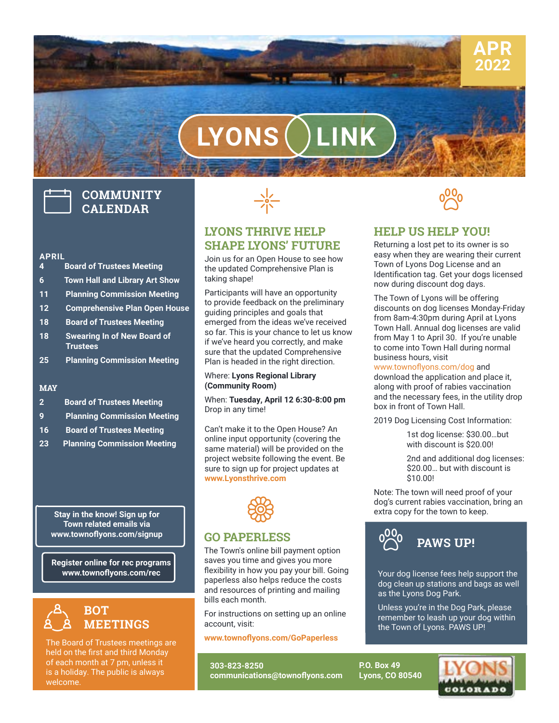

# **LYONS LINK**

# **COMMUNITY CALENDAR**

# **APRIL**

- **4 Board of Trustees Meeting**
- **6 Town Hall and Library Art Show**
- **11 Planning Commission Meeting**
- **12 Comprehensive Plan Open House**
- **18 Board of Trustees Meeting**
- **18 Swearing In of New Board of Trustees**
- **25 Planning Commission Meeting**

#### **MAY**

- **2 Board of Trustees Meeting**
- **9 Planning Commission Meeting**
- **16 Board of Trustees Meeting**
- **23 Planning Commission Meeting**

**Stay in the know! Sign up for Town related emails via www.townoflyons.com/signup**

**Register online for rec programs www.townoflyons.com/rec**



The Board of Trustees meetings are held on the first and third Monday of each month at 7 pm, unless it is a holiday. The public is always welcome.



#### **LYONS THRIVE HELP SHAPE LYONS' FUTURE**

Join us for an Open House to see how the updated Comprehensive Plan is taking shape!

Participants will have an opportunity to provide feedback on the preliminary guiding principles and goals that emerged from the ideas we've received so far. This is your chance to let us know if we've heard you correctly, and make sure that the updated Comprehensive Plan is headed in the right direction.

#### Where: **Lyons Regional Library (Community Room)**

When: **Tuesday, April 12 6:30-8:00 pm** Drop in any time!

Can't make it to the Open House? An online input opportunity (covering the same material) will be provided on the project website following the event. Be sure to sign up for project updates at **www.Lyonsthrive.com**



#### **GO PAPERLESS**

and resources of printing and mailing ibility in<br>erless a<br>resourd The Town's online bill payment option saves you time and gives you more flexibility in how you pay your bill. Going paperless also helps reduce the costs bills each month.

For instructions on setting up an online account, visit:

**[www.townoflyons.com/GoPaperless](http://www.townoflyons.com/GoPaperless)**

**303-823-8250 communications@townoflyons.com**



#### **HELP US HELP YOU!**

Returning a lost pet to its owner is so easy when they are wearing their current Town of Lyons Dog License and an Identification tag. Get your dogs licensed now during discount dog days.

The Town of Lyons will be offering discounts on dog licenses Monday-Friday from 8am-4:30pm during April at Lyons Town Hall. Annual dog licenses are valid from May 1 to April 30. If you're unable to come into Town Hall during normal business hours, visit

#### www.townoflyons.com/dog and

download the application and place it, along with proof of rabies vaccination and the necessary fees, in the utility drop box in front of Town Hall.

2019 Dog Licensing Cost Information:

1st dog license: \$30.00…but with discount is \$20.00!

2nd and additional dog licenses: \$20.00… but with discount is \$10.00!

Note: The town will need proof of your dog's current rabies vaccination, bring an extra copy for the town to keep.



Your dog license fees help support the dog clean up stations and bags as well as the Lyons Dog Park.

Unless you're in the Dog Park, please remember to leash up your dog within the Town of Lyons. PAWS UP!

**P.O. Box 49 Lyons, CO 80540**